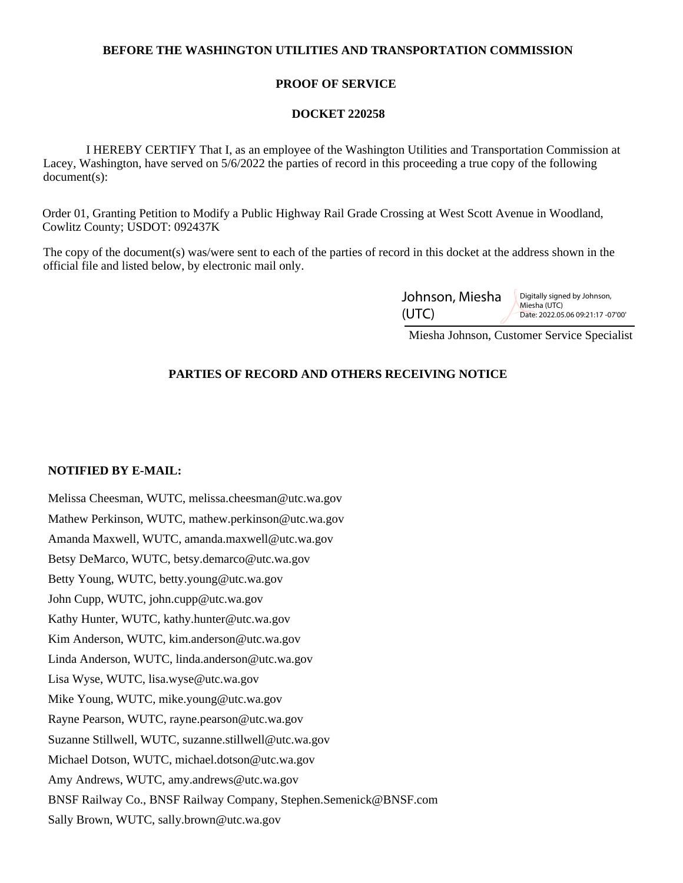## **BEFORE THE WASHINGTON UTILITIES AND TRANSPORTATION COMMISSION**

## **PROOF OF SERVICE**

### **DOCKET 220258**

 I HEREBY CERTIFY That I, as an employee of the Washington Utilities and Transportation Commission at Lacey, Washington, have served on 5/6/2022 the parties of record in this proceeding a true copy of the following document(s):

Order 01, Granting Petition to Modify a Public Highway Rail Grade Crossing at West Scott Avenue in Woodland, Cowlitz County; USDOT: 092437K

The copy of the document(s) was/were sent to each of the parties of record in this docket at the address shown in the official file and listed below, by electronic mail only.

| Johnson, Miesha | Digitally signed by Johnson,<br>Miesha (UTC)<br>Date: 2022.05.06 09:21:17 -07'00' |
|-----------------|-----------------------------------------------------------------------------------|
| (UTC)           |                                                                                   |

Miesha Johnson, Customer Service Specialist

# **PARTIES OF RECORD AND OTHERS RECEIVING NOTICE**

#### **NOTIFIED BY E-MAIL:**

Melissa Cheesman, WUTC, melissa.cheesman@utc.wa.gov Mathew Perkinson, WUTC, mathew.perkinson@utc.wa.gov Amanda Maxwell, WUTC, amanda.maxwell@utc.wa.gov Betsy DeMarco, WUTC, betsy.demarco@utc.wa.gov Betty Young, WUTC, betty.young@utc.wa.gov John Cupp, WUTC, john.cupp@utc.wa.gov Kathy Hunter, WUTC, kathy.hunter@utc.wa.gov Kim Anderson, WUTC, kim.anderson@utc.wa.gov Linda Anderson, WUTC, linda.anderson@utc.wa.gov Lisa Wyse, WUTC, lisa.wyse@utc.wa.gov Mike Young, WUTC, mike.young@utc.wa.gov Rayne Pearson, WUTC, rayne.pearson@utc.wa.gov Suzanne Stillwell, WUTC, suzanne.stillwell@utc.wa.gov Michael Dotson, WUTC, michael.dotson@utc.wa.gov Amy Andrews, WUTC, amy.andrews@utc.wa.gov BNSF Railway Co., BNSF Railway Company, Stephen.Semenick@BNSF.com Sally Brown, WUTC, sally.brown@utc.wa.gov